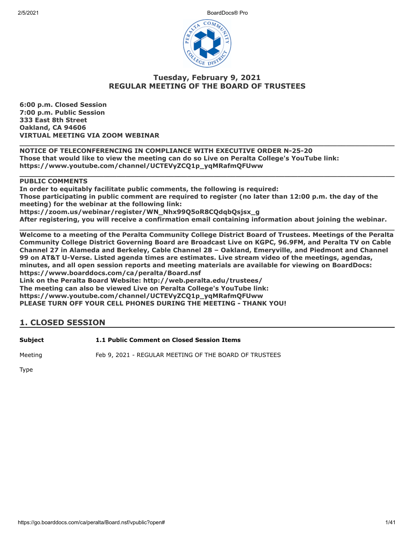2/5/2021 BoardDocs® Pro



# **Tuesday, February 9, 2021 REGULAR MEETING OF THE BOARD OF TRUSTEES**

**6:00 p.m. Closed Session 7:00 p.m. Public Session 333 East 8th Street Oakland, CA 94606 VIRTUAL MEETING VIA ZOOM WEBINAR**

**\_\_\_\_\_\_\_\_\_\_\_\_\_\_\_\_\_\_\_\_\_\_\_\_\_\_\_\_\_\_\_\_\_\_\_\_\_\_\_\_\_\_\_\_\_\_\_\_\_\_\_\_\_\_\_\_\_\_\_\_\_\_\_\_\_\_\_\_\_\_\_\_\_\_\_\_\_\_\_\_\_\_\_\_\_ NOTICE OF TELECONFERENCING IN COMPLIANCE WITH EXECUTIVE ORDER N-25-20 Those that would like to view the meeting can do so Live on Peralta College's YouTube link: https://www.youtube.com/channel/UCTEVyZCQ1p\_yqMRafmQFUww**

#### **PUBLIC COMMENTS**

**In order to equitably facilitate public comments, the following is required: Those participating in public comment are required to register (no later than 12:00 p.m. the day of the meeting) for the webinar at the following link: https://zoom.us/webinar/register/WN\_Nhx99Q5oR8CQdqbQsjsx\_g After registering, you will receive a confirmation email containing information about joining the webinar.**

**\_\_\_\_\_\_\_\_\_\_\_\_\_\_\_\_\_\_\_\_\_\_\_\_\_\_\_\_\_\_\_\_\_\_\_\_\_\_\_\_\_\_\_\_\_\_\_\_\_\_\_\_\_\_\_\_\_\_\_\_\_\_\_\_\_\_\_\_\_\_\_\_\_\_\_\_\_\_\_\_\_\_\_\_\_**

**\_\_\_\_\_\_\_\_\_\_\_\_\_\_\_\_\_\_\_\_\_\_\_\_\_\_\_\_\_\_\_\_\_\_\_\_\_\_\_\_\_\_\_\_\_\_\_\_\_\_\_\_\_\_\_\_\_\_\_\_\_\_\_\_\_\_\_\_\_\_\_\_\_\_\_\_\_\_\_\_\_\_\_\_\_ Welcome to a meeting of the Peralta Community College District Board of Trustees. Meetings of the Peralta Community College District Governing Board are Broadcast Live on KGPC, 96.9FM, and Peralta TV on Cable Channel 27 in Alameda and Berkeley, Cable Channel 28 – Oakland, Emeryville, and Piedmont and Channel 99 on AT&T U-Verse. Listed agenda times are estimates. Live stream video of the meetings, agendas, minutes, and all open session reports and meeting materials are available for viewing on BoardDocs: https://www.boarddocs.com/ca/peralta/Board.nsf**

**Link on the Peralta Board Website: http://web.peralta.edu/trustees/ The meeting can also be viewed Live on Peralta College's YouTube link: https://www.youtube.com/channel/UCTEVyZCQ1p\_yqMRafmQFUww PLEASE TURN OFF YOUR CELL PHONES DURING THE MEETING - THANK YOU!**

# **1. CLOSED SESSION**

**Subject 1.1 Public Comment on Closed Session Items**

Meeting Feb 9, 2021 - REGULAR MEETING OF THE BOARD OF TRUSTEES

Type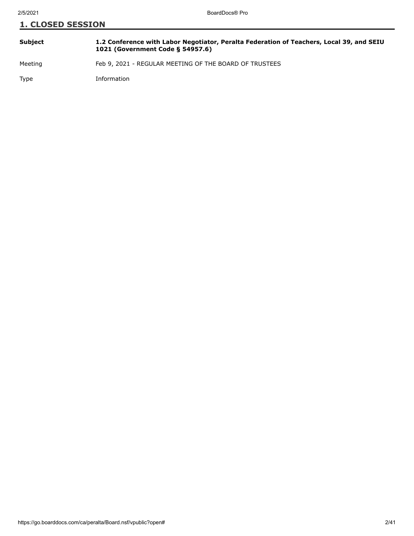| <b>Subject</b> | 1.2 Conference with Labor Negotiator, Peralta Federation of Teachers, Local 39, and SEIU<br>1021 (Government Code § 54957.6) |
|----------------|------------------------------------------------------------------------------------------------------------------------------|
|                |                                                                                                                              |

Meeting Feb 9, 2021 - REGULAR MEETING OF THE BOARD OF TRUSTEES

Type Information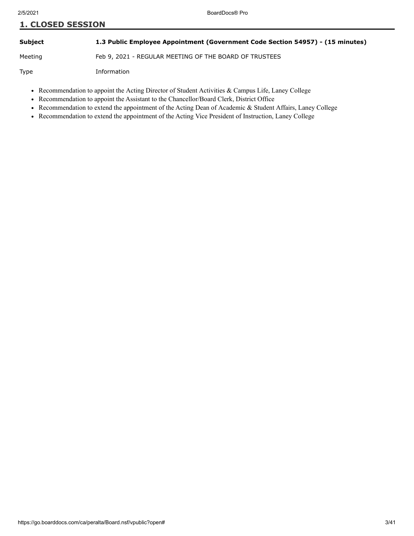#### **Subject 1.3 Public Employee Appointment (Government Code Section 54957) - (15 minutes)**

Meeting Feb 9, 2021 - REGULAR MEETING OF THE BOARD OF TRUSTEES

Type Information

- Recommendation to appoint the Acting Director of Student Activities & Campus Life, Laney College
- Recommendation to appoint the Assistant to the Chancellor/Board Clerk, District Office
- Recommendation to extend the appointment of the Acting Dean of Academic & Student Affairs, Laney College
- Recommendation to extend the appointment of the Acting Vice President of Instruction, Laney College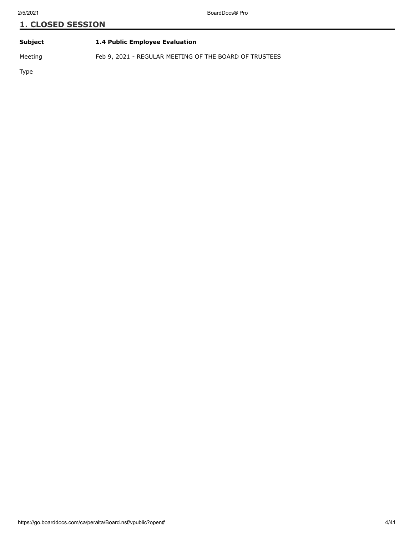| Subject |  | 1.4 Public Employee Evaluation |
|---------|--|--------------------------------|
|         |  |                                |

Meeting Feb 9, 2021 - REGULAR MEETING OF THE BOARD OF TRUSTEES

Type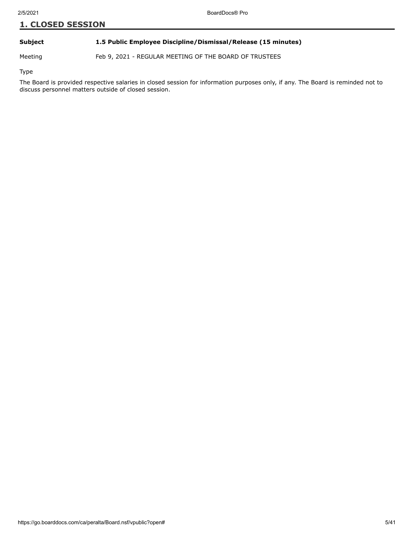#### **Subject 1.5 Public Employee Discipline/Dismissal/Release (15 minutes)**

Meeting Feb 9, 2021 - REGULAR MEETING OF THE BOARD OF TRUSTEES

Type

The Board is provided respective salaries in closed session for information purposes only, if any. The Board is reminded not to discuss personnel matters outside of closed session.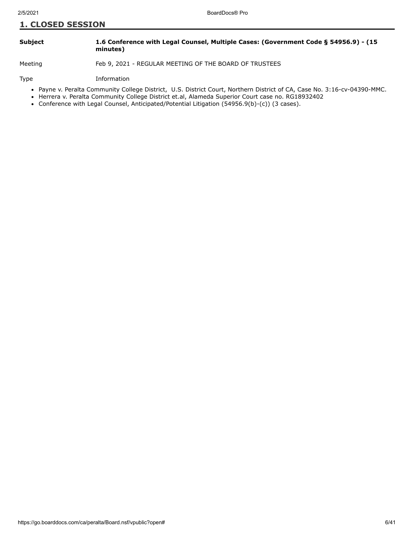#### **Subject 1.6 Conference with Legal Counsel, Multiple Cases: (Government Code § 54956.9) - (15 minutes)**

Meeting Feb 9, 2021 - REGULAR MEETING OF THE BOARD OF TRUSTEES

Type Information

- Payne v. Peralta Community College District, U.S. District Court, Northern District of CA, Case No. 3:16-cv-04390-MMC.
- Herrera v. Peralta Community College District et.al, Alameda Superior Court case no. RG18932402
- Conference with Legal Counsel, Anticipated/Potential Litigation (54956.9(b)-(c)) (3 cases).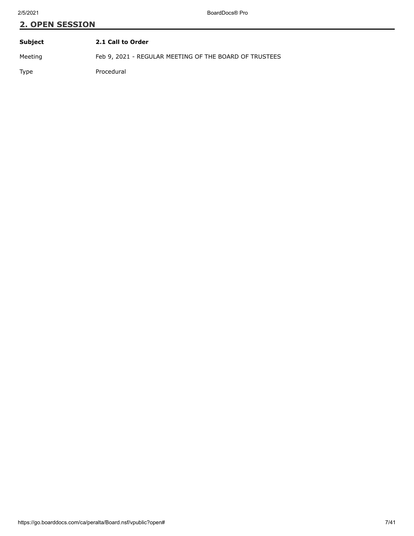| Subject | 2.1 Call to Order                                      |
|---------|--------------------------------------------------------|
| Meeting | Feb 9, 2021 - REGULAR MEETING OF THE BOARD OF TRUSTEES |
| Type    | Procedural                                             |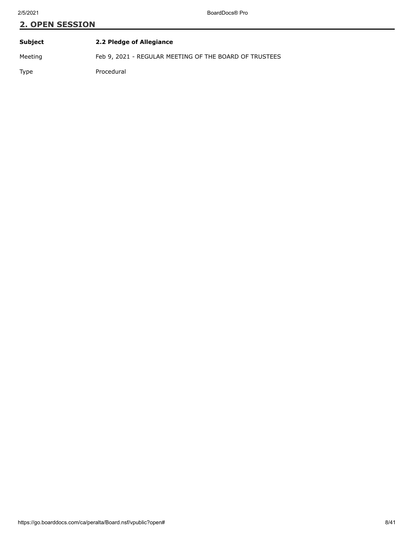| Subject | 2.2 Pledge of Allegiance                               |
|---------|--------------------------------------------------------|
| Meeting | Feb 9, 2021 - REGULAR MEETING OF THE BOARD OF TRUSTEES |
| Type    | Procedural                                             |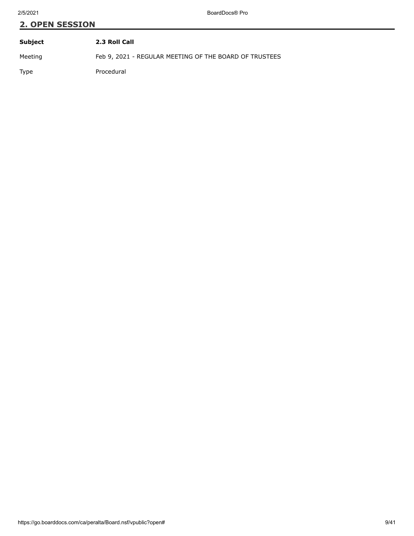| Subject | 2.3 Roll Call                                          |
|---------|--------------------------------------------------------|
| Meeting | Feb 9, 2021 - REGULAR MEETING OF THE BOARD OF TRUSTEES |
| Type    | Procedural                                             |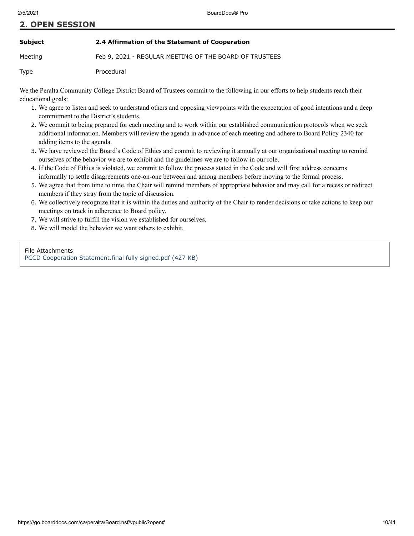#### **Subject 2.4 Affirmation of the Statement of Cooperation**

Meeting Feb 9, 2021 - REGULAR MEETING OF THE BOARD OF TRUSTEES

Type Procedural

We the Peralta Community College District Board of Trustees commit to the following in our efforts to help students reach their educational goals:

- 1. We agree to listen and seek to understand others and opposing viewpoints with the expectation of good intentions and a deep commitment to the District's students.
- 2. We commit to being prepared for each meeting and to work within our established communication protocols when we seek additional information. Members will review the agenda in advance of each meeting and adhere to Board Policy 2340 for adding items to the agenda.
- 3. We have reviewed the Board's Code of Ethics and commit to reviewing it annually at our organizational meeting to remind ourselves of the behavior we are to exhibit and the guidelines we are to follow in our role.
- 4. If the Code of Ethics is violated, we commit to follow the process stated in the Code and will first address concerns informally to settle disagreements one-on-one between and among members before moving to the formal process.
- 5. We agree that from time to time, the Chair will remind members of appropriate behavior and may call for a recess or redirect members if they stray from the topic of discussion.
- 6. We collectively recognize that it is within the duties and authority of the Chair to render decisions or take actions to keep our meetings on track in adherence to Board policy.
- 7. We will strive to fulfill the vision we established for ourselves.
- 8. We will model the behavior we want others to exhibit.

#### File Attachments

[PCCD Cooperation Statement.final fully signed.pdf \(427 KB\)](https://go.boarddocs.com/ca/peralta/Board.nsf/files/BXR5780ED15D/$file/PCCD%20Cooperation%20Statement.final%20fully%20signed.pdf)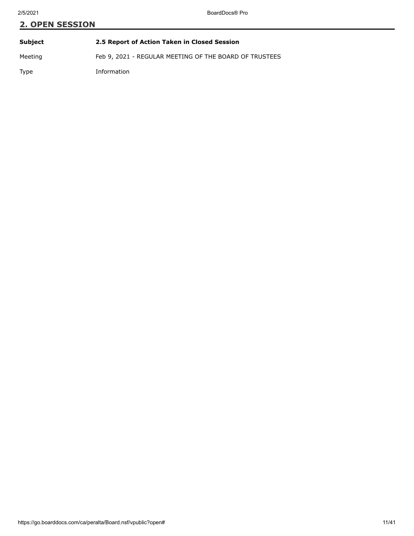# **2. OPEN SESSION Subject 2.5 Report of Action Taken in Closed Session**

Meeting Feb 9, 2021 - REGULAR MEETING OF THE BOARD OF TRUSTEES

Type Information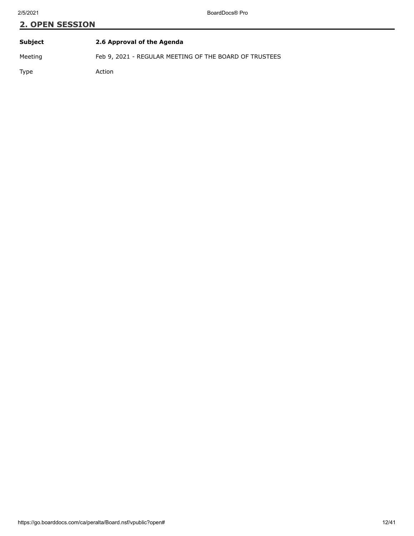| Subject | 2.6 Approval of the Agenda                             |
|---------|--------------------------------------------------------|
| Meeting | Feb 9, 2021 - REGULAR MEETING OF THE BOARD OF TRUSTEES |
| Type    | Action                                                 |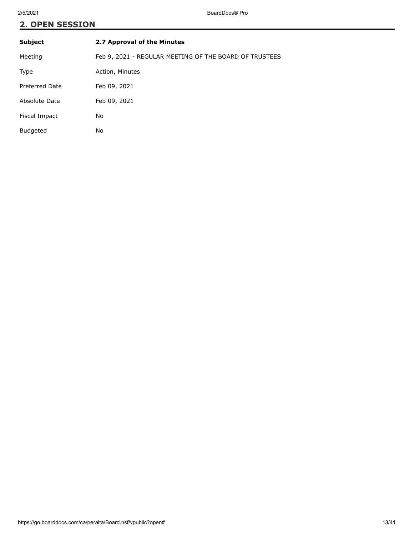| <b>Subject</b>        | 2.7 Approval of the Minutes                            |
|-----------------------|--------------------------------------------------------|
| Meeting               | Feb 9, 2021 - REGULAR MEETING OF THE BOARD OF TRUSTEES |
| Type                  | Action, Minutes                                        |
| <b>Preferred Date</b> | Feb 09, 2021                                           |
| Absolute Date         | Feb 09, 2021                                           |
| Fiscal Impact         | No                                                     |
| <b>Budgeted</b>       | No                                                     |
|                       |                                                        |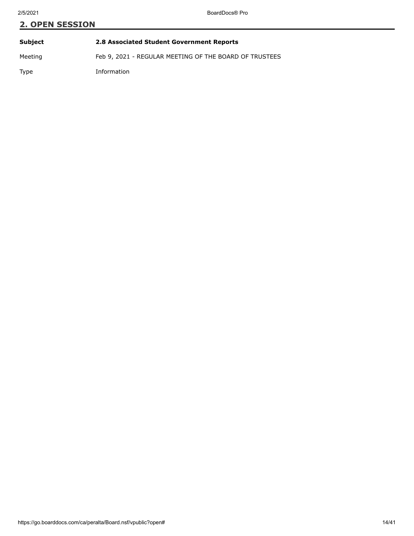# **2. OPEN SESSION Subject 2.8 Associated Student Government Reports**

Meeting Feb 9, 2021 - REGULAR MEETING OF THE BOARD OF TRUSTEES

Type Information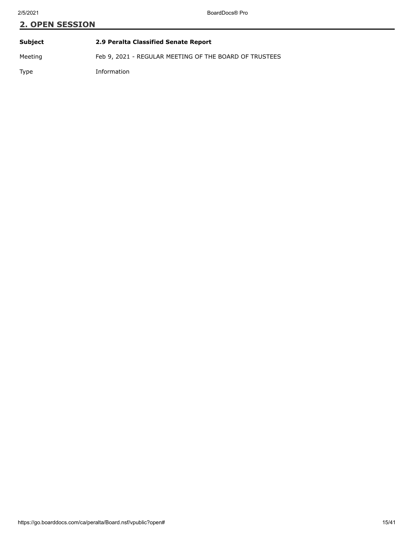| Subject | 2.9 Peralta Classified Senate Report                   |
|---------|--------------------------------------------------------|
| Meeting | Feb 9, 2021 - REGULAR MEETING OF THE BOARD OF TRUSTEES |
| Type    | Information                                            |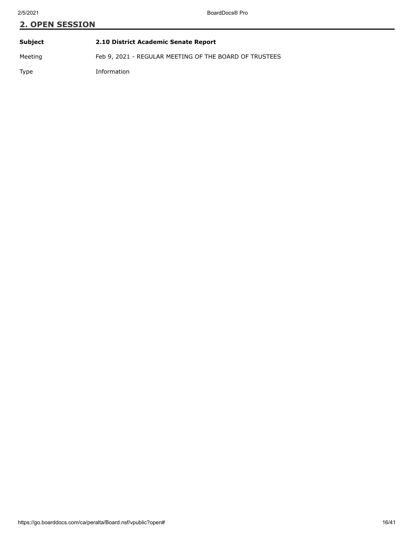| Subject | 2.10 District Academic Senate Report                   |
|---------|--------------------------------------------------------|
| Meeting | Feb 9, 2021 - REGULAR MEETING OF THE BOARD OF TRUSTEES |
| Type    | Information                                            |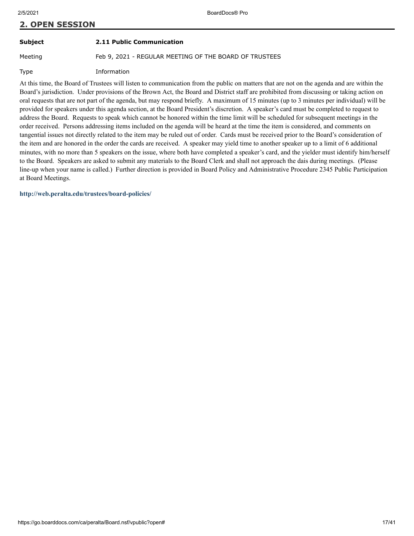## **Subject 2.11 Public Communication**

Meeting Feb 9, 2021 - REGULAR MEETING OF THE BOARD OF TRUSTEES

Type Information

At this time, the Board of Trustees will listen to communication from the public on matters that are not on the agenda and are within the Board's jurisdiction. Under provisions of the Brown Act, the Board and District staff are prohibited from discussing or taking action on oral requests that are not part of the agenda, but may respond briefly. A maximum of 15 minutes (up to 3 minutes per individual) will be provided for speakers under this agenda section, at the Board President's discretion. A speaker's card must be completed to request to address the Board. Requests to speak which cannot be honored within the time limit will be scheduled for subsequent meetings in the order received. Persons addressing items included on the agenda will be heard at the time the item is considered, and comments on tangential issues not directly related to the item may be ruled out of order. Cards must be received prior to the Board's consideration of the item and are honored in the order the cards are received. A speaker may yield time to another speaker up to a limit of 6 additional minutes, with no more than 5 speakers on the issue, where both have completed a speaker's card, and the yielder must identify him/herself to the Board. Speakers are asked to submit any materials to the Board Clerk and shall not approach the dais during meetings. (Please line-up when your name is called.) Further direction is provided in Board Policy and Administrative Procedure 2345 Public Participation at Board Meetings.

**<http://web.peralta.edu/trustees/board-policies/>**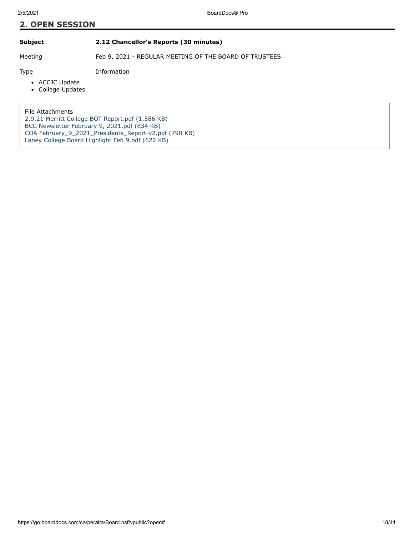## **Subject 2.12 Chancellor's Reports (30 minutes)**

Meeting Feb 9, 2021 - REGULAR MEETING OF THE BOARD OF TRUSTEES

Type Information

- ACCJC Update
- College Updates

File Attachments

[2.9.21 Merritt College BOT Report.pdf \(1,586 KB\)](https://go.boarddocs.com/ca/peralta/Board.nsf/files/BXNA9Z26AA88/$file/2.9.21%20Merritt%20College%20BOT%20Report.pdf) [BCC Newsletter February 9, 2021.pdf \(834 KB\)](https://go.boarddocs.com/ca/peralta/Board.nsf/files/BXUP6T62E722/$file/BCC%20Newsletter%20February%209%2C%202021.pdf) [COA February\\_9\\_2021\\_Presidents\\_Report-v2.pdf \(790 KB\)](https://go.boarddocs.com/ca/peralta/Board.nsf/files/BXUPN564F0B5/$file/COA%20February_9_2021_Presidents_Report-v2.pdf) [Laney College Board Highlight Feb 9.pdf \(622 KB\)](https://go.boarddocs.com/ca/peralta/Board.nsf/files/BXXNEK5C60BD/$file/Laney%20College%20Board%20Highlight%20Feb%209.pdf)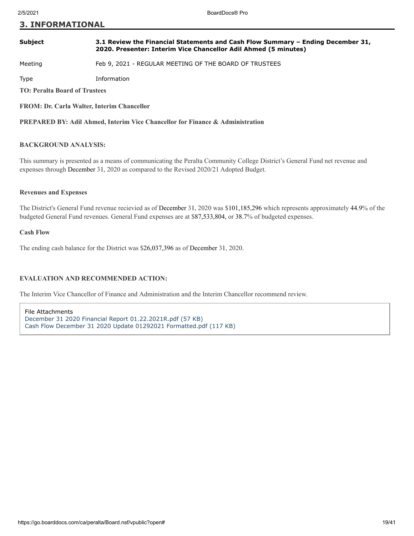## **3. INFORMATIONAL**

#### **Subject 3.1 Review the Financial Statements and Cash Flow Summary – Ending December 31, 2020. Presenter: Interim Vice Chancellor Adil Ahmed (5 minutes)**

Meeting Feb 9, 2021 - REGULAR MEETING OF THE BOARD OF TRUSTEES

Type Information

**TO: Peralta Board of Trustees**

**FROM: Dr. Carla Walter, Interim Chancellor**

**PREPARED BY: Adil Ahmed, Interim Vice Chancellor for Finance & Administration**

#### **BACKGROUND ANALYSIS:**

This summary is presented as a means of communicating the Peralta Community College District's General Fund net revenue and expenses through December 31, 2020 as compared to the Revised 2020/21 Adopted Budget.

#### **Revenues and Expenses**

The District's General Fund revenue recievied as of December 31, 2020 was \$101,185,296 which represents approximately 44.9% of the budgeted General Fund revenues. General Fund expenses are at \$87,533,804, or 38.7% of budgeted expenses.

#### **Cash Flow**

The ending cash balance for the District was \$26,037,396 as of December 31, 2020.

#### **EVALUATION AND RECOMMENDED ACTION:**

The Interim Vice Chancellor of Finance and Administration and the Interim Chancellor recommend review.

File Attachments [December 31 2020 Financial Report 01.22.2021R.pdf \(57 KB\)](https://go.boarddocs.com/ca/peralta/Board.nsf/files/BXMQ8W680560/$file/December%2031%202020%20Financial%20Report%2001.22.2021R.pdf) [Cash Flow December 31 2020 Update 01292021 Formatted.pdf \(117 KB\)](https://go.boarddocs.com/ca/peralta/Board.nsf/files/BXR53E0E4298/$file/Cash%20Flow%20December%2031%202020%20Update%2001292021%20Formatted.pdf)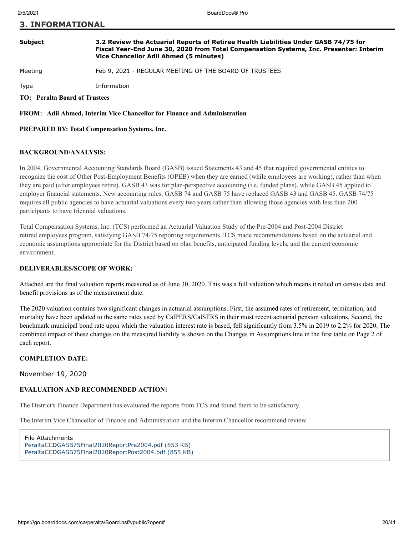### **3. INFORMATIONAL**

#### **Subject 3.2 Review the Actuarial Reports of Retiree Health Liabilities Under GASB 74/75 for Fiscal Year-End June 30, 2020 from Total Compensation Systems, Inc. Presenter: Interim Vice Chancellor Adil Ahmed (5 minutes)**

Meeting Feb 9, 2021 - REGULAR MEETING OF THE BOARD OF TRUSTEES

Type Information

**TO: Peralta Board of Trustees**

**FROM: Adil Ahmed, Interim Vice Chancellor for Finance and Administration**

#### **PREPARED BY: Total Compensation Systems, Inc.**

#### **BACKGROUND/ANALYSIS:**

In 2004, Governmental Accounting Standards Board (GASB) issued Statements 43 and 45 tha**t** required governmental entities to recognize the cost of Other Post-Employment Benefits (OPEB) when they are earned (while employees are working), rather than when they are paid (after employees retire). GASB 43 was for plan-perspective accounting (i.e. funded plans), while GASB 45 applied to employer financial statements. New accounting rules, GASB 74 and GASB 75 have replaced GASB 43 and GASB 45. GASB 74/75 requires all public agencies to have actuarial valuations every two years rather than allowing those agencies with less than 200 participants to have triennial valuations.

Total Compensation Systems, Inc. (TCS) performed an Actuarial Valuation Study of the Pre-2004 and Post-2004 District retired employees program, satisfying GASB 74/75 reporting requirements. TCS made recommendations based on the actuarial and economic assumptions appropriate for the District based on plan benefits, anticipated funding levels, and the current economic environment.

#### **DELIVERABLES/SCOPE OF WORK:**

Attached are the final valuation reports measured as of June 30, 2020. This was a full valuation which means it relied on census data and benefit provisions as of the measurement date.

The 2020 valuation contains two significant changes in actuarial assumptions. First, the assumed rates of retirement, termination, and mortality have been updated to the same rates used by CalPERS/CalSTRS in their most recent actuarial pension valuations. Second, the benchmark municipal bond rate upon which the valuation interest rate is based, fell significantly from 3.5% in 2019 to 2.2% for 2020. The combined impact of these changes on the measured liability is shown on the Changes in Assumptions line in the first table on Page 2 of each report.

#### **COMPLETION DATE:**

November 19, 2020

#### **EVALUATION AND RECOMMENDED ACTION:**

The District's Finance Department has evaluated the reports from TCS and found them to be satisfactory.

The Interim Vice Chancellor of Finance and Administration and the Interim Chancellor recommend review.

File Attachments [PeraltaCCDGASB75Final2020ReportPre2004.pdf \(853 KB\)](https://go.boarddocs.com/ca/peralta/Board.nsf/files/BW62SJ03367D/$file/PeraltaCCDGASB75Final2020ReportPre2004.pdf) [PeraltaCCDGASB75Final2020ReportPost2004.pdf \(855 KB\)](https://go.boarddocs.com/ca/peralta/Board.nsf/files/BW62SN03391F/$file/PeraltaCCDGASB75Final2020ReportPost2004.pdf)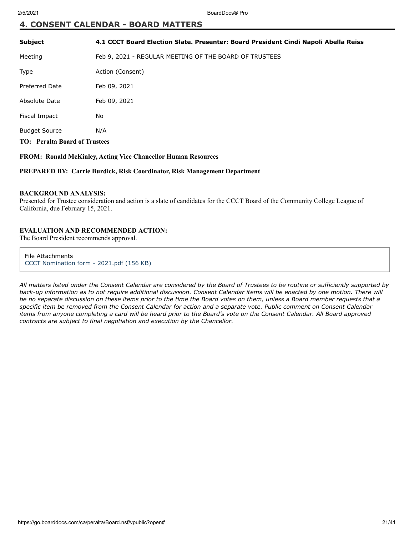# **4. CONSENT CALENDAR - BOARD MATTERS**

| <b>Subject</b>                       | 4.1 CCCT Board Election Slate. Presenter: Board President Cindi Napoli Abella Reiss |  |
|--------------------------------------|-------------------------------------------------------------------------------------|--|
| Meeting                              | Feb 9, 2021 - REGULAR MEETING OF THE BOARD OF TRUSTEES                              |  |
| Type                                 | Action (Consent)                                                                    |  |
| <b>Preferred Date</b>                | Feb 09, 2021                                                                        |  |
| Absolute Date                        | Feb 09, 2021                                                                        |  |
| Fiscal Impact                        | No                                                                                  |  |
| <b>Budget Source</b>                 | N/A                                                                                 |  |
| <b>TO:</b> Peralta Board of Trustees |                                                                                     |  |

#### **FROM: Ronald McKinley, Acting Vice Chancellor Human Resources**

**PREPARED BY: Carrie Burdick, Risk Coordinator, Risk Management Department**

#### **BACKGROUND ANALYSIS:**

Presented for Trustee consideration and action is a slate of candidates for the CCCT Board of the Community College League of California, due February 15, 2021.

#### **EVALUATION AND RECOMMENDED ACTION:**

The Board President recommends approval.

File Attachments [CCCT Nomination form - 2021.pdf \(156 KB\)](https://go.boarddocs.com/ca/peralta/Board.nsf/files/BXXV2S7EAB52/$file/CCCT%20Nomination%20form%20-%202021.pdf)

*All matters listed under the Consent Calendar are considered by the Board of Trustees to be routine or sufficiently supported by back-up information as to not require additional discussion. Consent Calendar items will be enacted by one motion. There will be no separate discussion on these items prior to the time the Board votes on them, unless a Board member requests that a specific item be removed from the Consent Calendar for action and a separate vote. Public comment on Consent Calendar items from anyone completing a card will be heard prior to the Board's vote on the Consent Calendar. All Board approved contracts are subject to final negotiation and execution by the Chancellor.*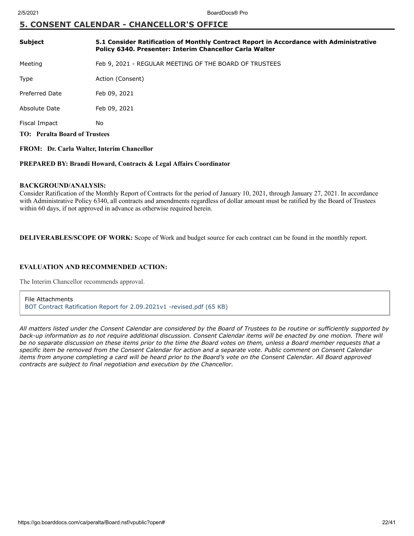# **5. CONSENT CALENDAR - CHANCELLOR'S OFFICE**

| <b>Subject</b>                       | 5.1 Consider Ratification of Monthly Contract Report in Accordance with Administrative<br>Policy 6340. Presenter: Interim Chancellor Carla Walter |
|--------------------------------------|---------------------------------------------------------------------------------------------------------------------------------------------------|
| Meeting                              | Feb 9, 2021 - REGULAR MEETING OF THE BOARD OF TRUSTEES                                                                                            |
| <b>Type</b>                          | Action (Consent)                                                                                                                                  |
| Preferred Date                       | Feb 09, 2021                                                                                                                                      |
| Absolute Date                        | Feb 09, 2021                                                                                                                                      |
| Fiscal Impact                        | No                                                                                                                                                |
| <b>TO: Peralta Board of Trustees</b> |                                                                                                                                                   |

### **FROM: Dr. Carla Walter, Interim Chancellor**

#### **PREPARED BY: Brandi Howard, Contracts & Legal Affairs Coordinator**

#### **BACKGROUND/ANALYSIS:**

Consider Ratification of the Monthly Report of Contracts for the period of January 10, 2021, through January 27, 2021. In accordance with Administrative Policy 6340, all contracts and amendments regardless of dollar amount must be ratified by the Board of Trustees within 60 days, if not approved in advance as otherwise required herein.

**DELIVERABLES/SCOPE OF WORK:** Scope of Work and budget source for each contract can be found in the monthly report.

#### **EVALUATION AND RECOMMENDED ACTION:**

The Interim Chancellor recommends approval.

File Attachments [BOT Contract Ratification Report for 2.09.2021v1 -revised.pdf \(65 KB\)](https://go.boarddocs.com/ca/peralta/Board.nsf/files/BXUVJ380E92A/$file/BOT%20Contract%20Ratification%20Report%20for%202.09.2021v1%20-revised.pdf)

*All matters listed under the Consent Calendar are considered by the Board of Trustees to be routine or sufficiently supported by back-up information as to not require additional discussion. Consent Calendar items will be enacted by one motion. There will be no separate discussion on these items prior to the time the Board votes on them, unless a Board member requests that a specific item be removed from the Consent Calendar for action and a separate vote. Public comment on Consent Calendar items from anyone completing a card will be heard prior to the Board's vote on the Consent Calendar. All Board approved contracts are subject to final negotiation and execution by the Chancellor.*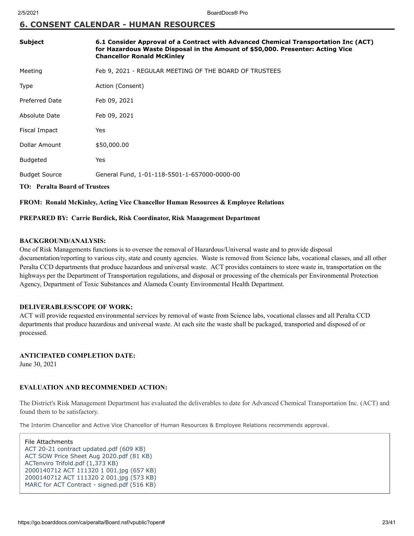# **6. CONSENT CALENDAR - HUMAN RESOURCES**

| Subject                              | 6.1 Consider Approval of a Contract with Advanced Chemical Transportation Inc (ACT)<br>for Hazardous Waste Disposal in the Amount of \$50,000. Presenter: Acting Vice<br><b>Chancellor Ronald McKinley</b> |  |
|--------------------------------------|------------------------------------------------------------------------------------------------------------------------------------------------------------------------------------------------------------|--|
| Meeting                              | Feb 9, 2021 - REGULAR MEETING OF THE BOARD OF TRUSTEES                                                                                                                                                     |  |
| Type                                 | Action (Consent)                                                                                                                                                                                           |  |
| <b>Preferred Date</b>                | Feb 09, 2021                                                                                                                                                                                               |  |
| Absolute Date                        | Feb 09, 2021                                                                                                                                                                                               |  |
| Fiscal Impact                        | Yes                                                                                                                                                                                                        |  |
| Dollar Amount                        | \$50,000.00                                                                                                                                                                                                |  |
| <b>Budgeted</b>                      | Yes                                                                                                                                                                                                        |  |
| <b>Budget Source</b>                 | General Fund, 1-01-118-5501-1-657000-0000-00                                                                                                                                                               |  |
| <b>TO:</b> Peralta Board of Trustees |                                                                                                                                                                                                            |  |

**FROM: Ronald McKinley, Acting Vice Chancellor Human Resources & Employee Relations**

#### **PREPARED BY: Carrie Burdick, Risk Coordinator, Risk Management Department**

#### **BACKGROUND/ANALYSIS:**

One of Risk Managements functions is to oversee the removal of Hazardous/Universal waste and to provide disposal documentation/reporting to various city, state and county agencies. Waste is removed from Science labs, vocational classes, and all other Peralta CCD departments that produce hazardous and universal waste. ACT provides containers to store waste in, transportation on the highways per the Department of Transportation regulations, and disposal or processing of the chemicals per Environmental Protection Agency, Department of Toxic Substances and Alameda County Environmental Health Department.

#### **DELIVERABLES/SCOPE OF WORK:**

ACT will provide requested environmental services by removal of waste from Science labs, vocational classes and all Peralta CCD departments that produce hazardous and universal waste. At each site the waste shall be packaged, transported and disposed of or processed.

#### **ANTICIPATED COMPLETION DATE:**

June 30, 2021

## **EVALUATION AND RECOMMENDED ACTION:**

The District's Risk Management Department has evaluated the deliverables to date for Advanced Chemical Transportation Inc. (ACT) and found them to be satisfactory.

The Interim Chancellor and Active Vice Chancellor of Human Resources & Employee Relations recommends approval.

File Attachments [ACT 20-21 contract updated.pdf \(609 KB\)](https://go.boarddocs.com/ca/peralta/Board.nsf/files/BXNUT97D90AA/$file/ACT%20%2020-21%20contract%20updated.pdf) [ACT SOW Price Sheet Aug 2020.pdf \(81 KB\)](https://go.boarddocs.com/ca/peralta/Board.nsf/files/BXNUTD7D9627/$file/ACT%20SOW%20Price%20Sheet%20Aug%202020.pdf) [ACTenviro Trifold.pdf \(1,373 KB\)](https://go.boarddocs.com/ca/peralta/Board.nsf/files/BXNUTL7D9E73/$file/ACTenviro%20Trifold.pdf) [2000140712 ACT 111320 1 001.jpg \(657 KB\)](https://go.boarddocs.com/ca/peralta/Board.nsf/files/BXNUTS7DA4A6/$file/2000140712%20ACT%20111320%201%20001.jpg) [2000140712 ACT 111320 2 001.jpg \(573 KB\)](https://go.boarddocs.com/ca/peralta/Board.nsf/files/BXNUTW7DA806/$file/2000140712%20ACT%20111320%202%20001.jpg) [MARC for ACT Contract - signed.pdf \(516 KB\)](https://go.boarddocs.com/ca/peralta/Board.nsf/files/BXY32X01D709/$file/MARC%20for%20ACT%20Contract%20-%20signed.pdf)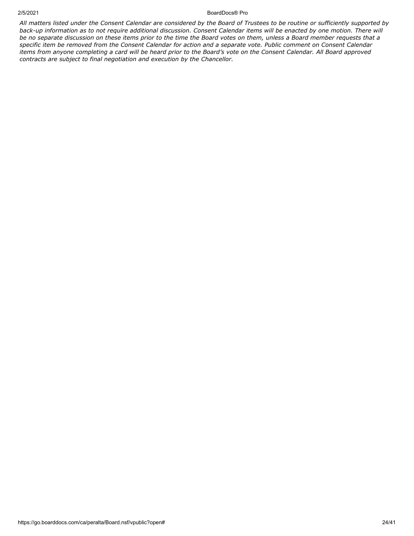#### 2/5/2021 BoardDocs® Pro

*All matters listed under the Consent Calendar are considered by the Board of Trustees to be routine or sufficiently supported by back-up information as to not require additional discussion. Consent Calendar items will be enacted by one motion. There will be no separate discussion on these items prior to the time the Board votes on them, unless a Board member requests that a specific item be removed from the Consent Calendar for action and a separate vote. Public comment on Consent Calendar items from anyone completing a card will be heard prior to the Board's vote on the Consent Calendar. All Board approved contracts are subject to final negotiation and execution by the Chancellor.*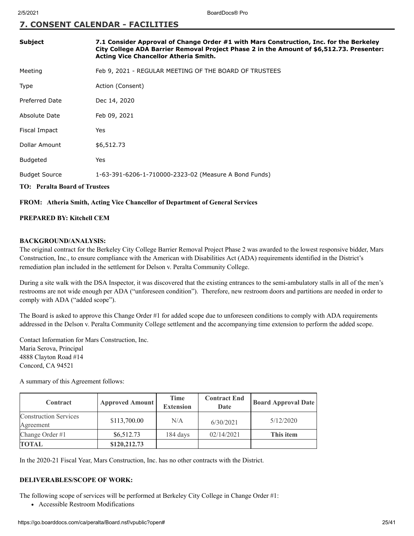# **7. CONSENT CALENDAR - FACILITIES**

| Subject                              | 7.1 Consider Approval of Change Order #1 with Mars Construction, Inc. for the Berkeley<br>City College ADA Barrier Removal Project Phase 2 in the Amount of \$6,512.73. Presenter:<br>Acting Vice Chancellor Atheria Smith. |  |
|--------------------------------------|-----------------------------------------------------------------------------------------------------------------------------------------------------------------------------------------------------------------------------|--|
| Meeting                              | Feb 9, 2021 - REGULAR MEETING OF THE BOARD OF TRUSTEES                                                                                                                                                                      |  |
| Type                                 | Action (Consent)                                                                                                                                                                                                            |  |
| Preferred Date                       | Dec 14, 2020                                                                                                                                                                                                                |  |
| Absolute Date                        | Feb 09, 2021                                                                                                                                                                                                                |  |
| Fiscal Impact                        | Yes                                                                                                                                                                                                                         |  |
| Dollar Amount                        | \$6,512.73                                                                                                                                                                                                                  |  |
| <b>Budgeted</b>                      | Yes                                                                                                                                                                                                                         |  |
| <b>Budget Source</b>                 | 1-63-391-6206-1-710000-2323-02 (Measure A Bond Funds)                                                                                                                                                                       |  |
| <b>TO: Peralta Board of Trustees</b> |                                                                                                                                                                                                                             |  |

### **FROM: Atheria Smith, Acting Vice Chancellor of Department of General Services**

#### **PREPARED BY: Kitchell CEM**

#### **BACKGROUND/ANALYSIS:**

The original contract for the Berkeley City College Barrier Removal Project Phase 2 was awarded to the lowest responsive bidder, Mars Construction, Inc., to ensure compliance with the American with Disabilities Act (ADA) requirements identified in the District's remediation plan included in the settlement for Delson v. Peralta Community College.

During a site walk with the DSA Inspector, it was discovered that the existing entrances to the semi-ambulatory stalls in all of the men's restrooms are not wide enough per ADA ("unforeseen condition"). Therefore, new restroom doors and partitions are needed in order to comply with ADA ("added scope").

The Board is asked to approve this Change Order #1 for added scope due to unforeseen conditions to comply with ADA requirements addressed in the Delson v. Peralta Community College settlement and the accompanying time extension to perform the added scope.

Contact Information for Mars Construction, Inc. Maria Serova, Principal 4888 Clayton Road #14 Concord, CA 94521

A summary of this Agreement follows:

| Contract                                  | <b>Approved Amount</b> | <b>Time</b><br><b>Extension</b> | <b>Contract End</b><br>Date | <b>Board Approval Date</b> |
|-------------------------------------------|------------------------|---------------------------------|-----------------------------|----------------------------|
| <b>Construction Services</b><br>Agreement | \$113,700.00           | N/A                             | 6/30/2021                   | 5/12/2020                  |
| Change Order #1                           | \$6,512.73             | 184 days                        | 02/14/2021                  | This item                  |
| <b>TOTAL</b>                              | \$120,212.73           |                                 |                             |                            |

In the 2020-21 Fiscal Year, Mars Construction, Inc. has no other contracts with the District.

#### **DELIVERABLES/SCOPE OF WORK:**

The following scope of services will be performed at Berkeley City College in Change Order #1:

Accessible Restroom Modifications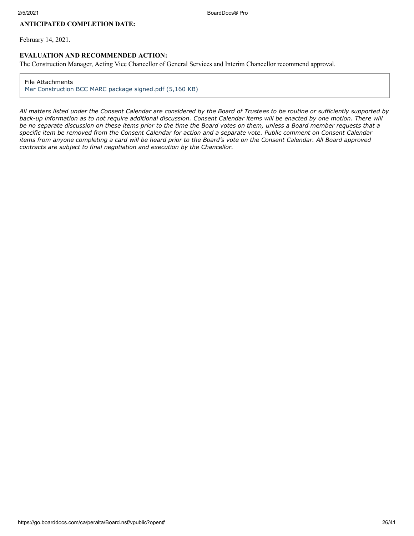## **ANTICIPATED COMPLETION DATE:**

February 14, 2021.

#### **EVALUATION AND RECOMMENDED ACTION:**

The Construction Manager, Acting Vice Chancellor of General Services and Interim Chancellor recommend approval.

#### File Attachments

[Mar Construction BCC MARC package signed.pdf \(5,160 KB\)](https://go.boarddocs.com/ca/peralta/Board.nsf/files/BX6SDC6E695A/$file/Mar%20Construction%20BCC%20MARC%20package%20signed.pdf)

*All matters listed under the Consent Calendar are considered by the Board of Trustees to be routine or sufficiently supported by back-up information as to not require additional discussion. Consent Calendar items will be enacted by one motion. There will be no separate discussion on these items prior to the time the Board votes on them, unless a Board member requests that a specific item be removed from the Consent Calendar for action and a separate vote. Public comment on Consent Calendar items from anyone completing a card will be heard prior to the Board's vote on the Consent Calendar. All Board approved contracts are subject to final negotiation and execution by the Chancellor.*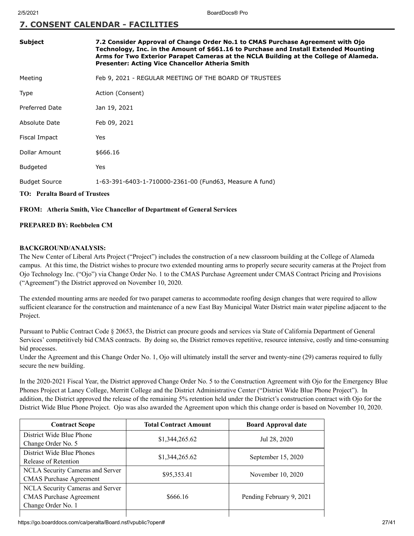# **7. CONSENT CALENDAR - FACILITIES**

| <b>Subject</b>       | 7.2 Consider Approval of Change Order No.1 to CMAS Purchase Agreement with Ojo<br>Technology, Inc. in the Amount of \$661.16 to Purchase and Install Extended Mounting<br>Arms for Two Exterior Parapet Cameras at the NCLA Building at the College of Alameda.<br>Presenter: Acting Vice Chancellor Atheria Smith |
|----------------------|--------------------------------------------------------------------------------------------------------------------------------------------------------------------------------------------------------------------------------------------------------------------------------------------------------------------|
| Meeting              | Feb 9, 2021 - REGULAR MEETING OF THE BOARD OF TRUSTEES                                                                                                                                                                                                                                                             |
| <b>Type</b>          | Action (Consent)                                                                                                                                                                                                                                                                                                   |
| Preferred Date       | Jan 19, 2021                                                                                                                                                                                                                                                                                                       |
| Absolute Date        | Feb 09, 2021                                                                                                                                                                                                                                                                                                       |
| Fiscal Impact        | Yes                                                                                                                                                                                                                                                                                                                |
| Dollar Amount        | \$666.16                                                                                                                                                                                                                                                                                                           |
| <b>Budgeted</b>      | Yes                                                                                                                                                                                                                                                                                                                |
| <b>Budget Source</b> | 1-63-391-6403-1-710000-2361-00 (Fund63, Measure A fund)                                                                                                                                                                                                                                                            |
| .                    |                                                                                                                                                                                                                                                                                                                    |

# **TO: Peralta Board of Trustees**

#### **FROM: Atheria Smith, Vice Chancellor of Department of General Services**

#### **PREPARED BY: Roebbelen CM**

#### **BACKGROUND/ANALYSIS:**

The New Center of Liberal Arts Project ("Project") includes the construction of a new classroom building at the College of Alameda campus. At this time, the District wishes to procure two extended mounting arms to properly secure security cameras at the Project from Ojo Technology Inc. ("Ojo") via Change Order No. 1 to the CMAS Purchase Agreement under CMAS Contract Pricing and Provisions ("Agreement") the District approved on November 10, 2020.

The extended mounting arms are needed for two parapet cameras to accommodate roofing design changes that were required to allow sufficient clearance for the construction and maintenance of a new East Bay Municipal Water District main water pipeline adjacent to the Project.

Pursuant to Public Contract Code § 20653, the District can procure goods and services via State of California Department of General Services' competitively bid CMAS contracts. By doing so, the District removes repetitive, resource intensive, costly and time-consuming bid processes.

Under the Agreement and this Change Order No. 1, Ojo will ultimately install the server and twenty-nine (29) cameras required to fully secure the new building.

In the 2020-2021 Fiscal Year, the District approved Change Order No. 5 to the Construction Agreement with Ojo for the Emergency Blue Phones Project at Laney College, Merritt College and the District Administrative Center ("District Wide Blue Phone Project"). In addition, the District approved the release of the remaining 5% retention held under the District's construction contract with Ojo for the District Wide Blue Phone Project. Ojo was also awarded the Agreement upon which this change order is based on November 10, 2020.

| <b>Contract Scope</b>            | <b>Total Contract Amount</b> | <b>Board Approval date</b> |
|----------------------------------|------------------------------|----------------------------|
| District Wide Blue Phone         | \$1,344,265.62               | Jul 28, 2020               |
| Change Order No. 5               |                              |                            |
| District Wide Blue Phones        | \$1,344,265.62               | September 15, 2020         |
| Release of Retention             |                              |                            |
| NCLA Security Cameras and Server | \$95,353.41                  | November 10, 2020          |
| <b>CMAS</b> Purchase Agreement   |                              |                            |
| NCLA Security Cameras and Server |                              |                            |
| <b>CMAS</b> Purchase Agreement   | \$666.16                     | Pending February 9, 2021   |
| Change Order No. 1               |                              |                            |
|                                  |                              |                            |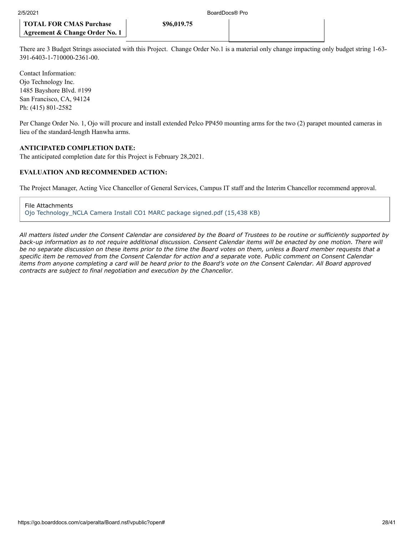There are 3 Budget Strings associated with this Project. Change Order No.1 is a material only change impacting only budget string 1-63- 391-6403-1-710000-2361-00.

**\$96,019.75**

Contact Information: Ojo Technology Inc. 1485 Bayshore Blvd. #199 San Francisco, CA, 94124 Ph: (415) 801-2582

Per Change Order No. 1, Ojo will procure and install extended Pelco PP450 mounting arms for the two (2) parapet mounted cameras in lieu of the standard-length Hanwha arms.

#### **ANTICIPATED COMPLETION DATE:**

The anticipated completion date for this Project is February 28,2021.

#### **EVALUATION AND RECOMMENDED ACTION:**

The Project Manager, Acting Vice Chancellor of General Services, Campus IT staff and the Interim Chancellor recommend approval.

File Attachments [Ojo Technology\\_NCLA Camera Install CO1 MARC package signed.pdf \(15,438 KB\)](https://go.boarddocs.com/ca/peralta/Board.nsf/files/BXGVHA80C8F1/$file/Ojo%20Technology_NCLA%20Camera%20Install%20CO1%20MARC%20package%20signed.pdf)

*All matters listed under the Consent Calendar are considered by the Board of Trustees to be routine or sufficiently supported by back-up information as to not require additional discussion. Consent Calendar items will be enacted by one motion. There will be no separate discussion on these items prior to the time the Board votes on them, unless a Board member requests that a specific item be removed from the Consent Calendar for action and a separate vote. Public comment on Consent Calendar items from anyone completing a card will be heard prior to the Board's vote on the Consent Calendar. All Board approved contracts are subject to final negotiation and execution by the Chancellor.*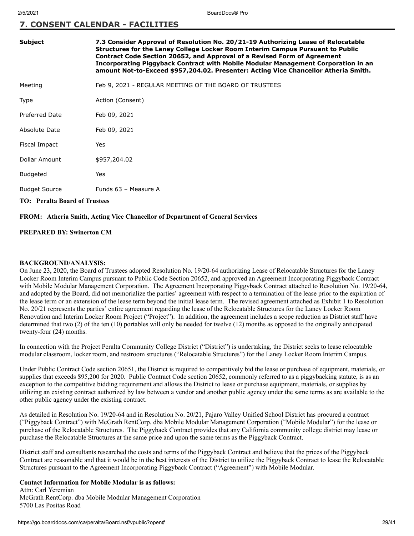# **7. CONSENT CALENDAR - FACILITIES**

| <b>Subject</b>                       | 7.3 Consider Approval of Resolution No. 20/21-19 Authorizing Lease of Relocatable<br>Structures for the Laney College Locker Room Interim Campus Pursuant to Public<br>Contract Code Section 20652, and Approval of a Revised Form of Agreement<br>Incorporating Piggyback Contract with Mobile Modular Management Corporation in an<br>amount Not-to-Exceed \$957,204.02. Presenter: Acting Vice Chancellor Atheria Smith. |
|--------------------------------------|-----------------------------------------------------------------------------------------------------------------------------------------------------------------------------------------------------------------------------------------------------------------------------------------------------------------------------------------------------------------------------------------------------------------------------|
| Meeting                              | Feb 9, 2021 - REGULAR MEETING OF THE BOARD OF TRUSTEES                                                                                                                                                                                                                                                                                                                                                                      |
| Type                                 | Action (Consent)                                                                                                                                                                                                                                                                                                                                                                                                            |
| <b>Preferred Date</b>                | Feb 09, 2021                                                                                                                                                                                                                                                                                                                                                                                                                |
| Absolute Date                        | Feb 09, 2021                                                                                                                                                                                                                                                                                                                                                                                                                |
| Fiscal Impact                        | Yes                                                                                                                                                                                                                                                                                                                                                                                                                         |
| Dollar Amount                        | \$957,204.02                                                                                                                                                                                                                                                                                                                                                                                                                |
| <b>Budgeted</b>                      | Yes                                                                                                                                                                                                                                                                                                                                                                                                                         |
| <b>Budget Source</b>                 | Funds 63 - Measure A                                                                                                                                                                                                                                                                                                                                                                                                        |
| <b>TO: Peralta Board of Trustees</b> |                                                                                                                                                                                                                                                                                                                                                                                                                             |

**FROM: Atheria Smith, Acting Vice Chancellor of Department of General Services**

#### **PREPARED BY: Swinerton CM**

#### **BACKGROUND/ANALYSIS:**

On June 23, 2020, the Board of Trustees adopted Resolution No. 19/20-64 authorizing Lease of Relocatable Structures for the Laney Locker Room Interim Campus pursuant to Public Code Section 20652, and approved an Agreement Incorporating Piggyback Contract with Mobile Modular Management Corporation. The Agreement Incorporating Piggyback Contract attached to Resolution No. 19/20-64, and adopted by the Board, did not memorialize the parties' agreement with respect to a termination of the lease prior to the expiration of the lease term or an extension of the lease term beyond the initial lease term. The revised agreement attached as Exhibit 1 to Resolution No. 20/21 represents the parties' entire agreement regarding the lease of the Relocatable Structures for the Laney Locker Room Renovation and Interim Locker Room Project ("Project"). In addition, the agreement includes a scope reduction as District staff have determined that two (2) of the ten (10) portables will only be needed for twelve (12) months as opposed to the originally anticipated twenty-four (24) months.

In connection with the Project Peralta Community College District ("District") is undertaking, the District seeks to lease relocatable modular classroom, locker room, and restroom structures ("Relocatable Structures") for the Laney Locker Room Interim Campus.

Under Public Contract Code section 20651, the District is required to competitively bid the lease or purchase of equipment, materials, or supplies that exceeds \$95,200 for 2020. Public Contract Code section 20652, commonly referred to as a piggybacking statute, is as an exception to the competitive bidding requirement and allows the District to lease or purchase equipment, materials, or supplies by utilizing an existing contract authorized by law between a vendor and another public agency under the same terms as are available to the other public agency under the existing contract.

As detailed in Resolution No. 19/20-64 and in Resolution No. 20/21, Pajaro Valley Unified School District has procured a contract ("Piggyback Contract") with McGrath RentCorp. dba Mobile Modular Management Corporation ("Mobile Modular") for the lease or purchase of the Relocatable Structures. The Piggyback Contract provides that any California community college district may lease or purchase the Relocatable Structures at the same price and upon the same terms as the Piggyback Contract.

District staff and consultants researched the costs and terms of the Piggyback Contract and believe that the prices of the Piggyback Contract are reasonable and that it would be in the best interests of the District to utilize the Piggyback Contract to lease the Relocatable Structures pursuant to the Agreement Incorporating Piggyback Contract ("Agreement") with Mobile Modular.

#### **Contact Information for Mobile Modular is as follows:**

Attn: Carl Yeremian McGrath RentCorp. dba Mobile Modular Management Corporation 5700 Las Positas Road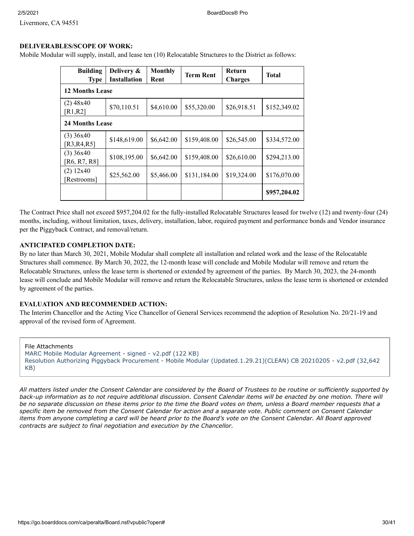Livermore, CA 94551

#### **DELIVERABLES/SCOPE OF WORK:**

Mobile Modular will supply, install, and lease ten (10) Relocatable Structures to the District as follows:

| <b>Building</b><br><b>Type</b> | Delivery &<br><b>Installation</b> | <b>Monthly</b><br>Rent | <b>Term Rent</b> | Return<br><b>Charges</b> | <b>Total</b> |
|--------------------------------|-----------------------------------|------------------------|------------------|--------------------------|--------------|
| <b>12 Months Lease</b>         |                                   |                        |                  |                          |              |
| $(2)$ 48x40<br>[R1,R2]         | \$70,110.51                       | \$4,610.00             | \$55,320.00      | \$26,918.51              | \$152,349.02 |
| <b>24 Months Lease</b>         |                                   |                        |                  |                          |              |
| $(3)$ 36x40<br>[R3,R4,R5]      | \$148,619.00                      | \$6,642.00             | \$159,408.00     | \$26,545.00              | \$334,572.00 |
| $(3)$ 36x40<br>[R6, R7, R8]    | \$108,195.00                      | \$6,642.00             | \$159,408.00     | \$26,610.00              | \$294,213.00 |
| (2) 12x40<br>[Restrooms]       | \$25,562.00                       | \$5,466.00             | \$131,184.00     | \$19,324.00              | \$176,070.00 |
|                                |                                   |                        |                  |                          | \$957,204.02 |

The Contract Price shall not exceed \$957,204.02 for the fully-installed Relocatable Structures leased for twelve (12) and twenty-four (24) months, including, without limitation, taxes, delivery, installation, labor, required payment and performance bonds and Vendor insurance per the Piggyback Contract, and removal/return.

#### **ANTICIPATED COMPLETION DATE:**

By no later than March 30, 2021, Mobile Modular shall complete all installation and related work and the lease of the Relocatable Structures shall commence. By March 30, 2022, the 12-month lease will conclude and Mobile Modular will remove and return the Relocatable Structures, unless the lease term is shortened or extended by agreement of the parties. By March 30, 2023, the 24-month lease will conclude and Mobile Modular will remove and return the Relocatable Structures, unless the lease term is shortened or extended by agreement of the parties.

#### **EVALUATION AND RECOMMENDED ACTION:**

The Interim Chancellor and the Acting Vice Chancellor of General Services recommend the adoption of Resolution No. 20/21-19 and approval of the revised form of Agreement.

File Attachments [MARC Mobile Modular Agreement - signed - v2.pdf \(122 KB\)](https://go.boarddocs.com/ca/peralta/Board.nsf/files/BXY3GV055D19/$file/MARC%20Mobile%20Modular%20Agreement%20-%20signed%20-%20v2.pdf) [Resolution Authorizing Piggyback Procurement - Mobile Modular \(Updated.1.29.21\)\(CLEAN\) CB 20210205 - v2.pdf \(32,642](https://go.boarddocs.com/ca/peralta/Board.nsf/files/BXY3GX05621F/$file/Resolution%20Authorizing%20Piggyback%20Procurement%20-%20Mobile%20Modular%20(Updated.1.29.21)(CLEAN)%20CB%2020210205%20-%20v2.pdf) KB)

*All matters listed under the Consent Calendar are considered by the Board of Trustees to be routine or sufficiently supported by back-up information as to not require additional discussion. Consent Calendar items will be enacted by one motion. There will be no separate discussion on these items prior to the time the Board votes on them, unless a Board member requests that a specific item be removed from the Consent Calendar for action and a separate vote. Public comment on Consent Calendar items from anyone completing a card will be heard prior to the Board's vote on the Consent Calendar. All Board approved contracts are subject to final negotiation and execution by the Chancellor.*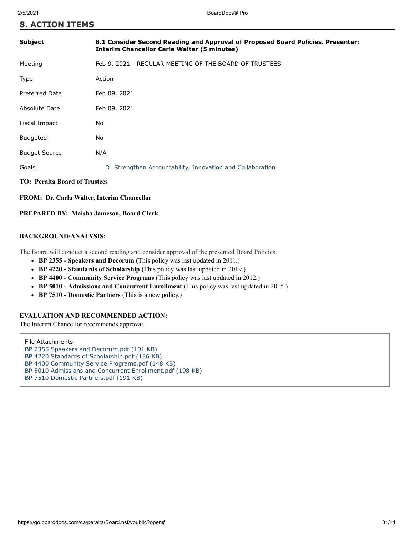| <b>Subject</b>                | 8.1 Consider Second Reading and Approval of Proposed Board Policies. Presenter:<br><b>Interim Chancellor Carla Walter (5 minutes)</b> |  |
|-------------------------------|---------------------------------------------------------------------------------------------------------------------------------------|--|
| Meeting                       | Feb 9, 2021 - REGULAR MEETING OF THE BOARD OF TRUSTEES                                                                                |  |
| <b>Type</b>                   | Action                                                                                                                                |  |
| <b>Preferred Date</b>         | Feb 09, 2021                                                                                                                          |  |
| Absolute Date                 | Feb 09, 2021                                                                                                                          |  |
| Fiscal Impact                 | No                                                                                                                                    |  |
| <b>Budgeted</b>               | No                                                                                                                                    |  |
| <b>Budget Source</b>          | N/A                                                                                                                                   |  |
| Goals                         | D: Strengthen Accountability, Innovation and Collaboration                                                                            |  |
| TO: Peralta Board of Trustees |                                                                                                                                       |  |

**FROM: Dr. Carla Walter, Interim Chancellor**

#### **PREPARED BY: Maisha Jameson, Board Clerk**

#### **BACKGROUND/ANALYSIS:**

The Board will conduct a second reading and consider approval of the presented Board Policies.

- **BP 2355 Speakers and Decorum (**This policy was last updated in 2011.)
- **BP 4220 Standards of Scholarship (**This policy was last updated in 2019.)
- **BP 4400 Community Service Programs (**This policy was last updated in 2012.)
- **BP 5010 Admissions and Concurrent Enrollment (**This policy was last updated in 2015.)
- **BP 7510 Domestic Partners** (This is a new policy.)

#### **EVALUATION AND RECOMMENDED ACTION:**

The Interim Chancellor recommends approval.

#### File Attachments

- [BP 2355 Speakers and Decorum.pdf \(101 KB\)](https://go.boarddocs.com/ca/peralta/Board.nsf/files/BXFGDK433D44/$file/BP%202355%20Speakers%20and%20Decorum.pdf)
- [BP 4220 Standards of Scholarship.pdf \(136 KB\)](https://go.boarddocs.com/ca/peralta/Board.nsf/files/BXFGDG433D43/$file/BP%204220%20Standards%20of%20Scholarship.pdf)
- [BP 4400 Community Service Programs.pdf \(148 KB\)](https://go.boarddocs.com/ca/peralta/Board.nsf/files/BXFGDD433D42/$file/BP%204400%20Community%20Service%20Programs.pdf)
- [BP 5010 Admissions and Concurrent Enrollment.pdf \(198 KB\)](https://go.boarddocs.com/ca/peralta/Board.nsf/files/BXFGDA433D41/$file/BP%205010%20Admissions%20and%20Concurrent%20Enrollment.pdf)
- [BP 7510 Domestic Partners.pdf \(191 KB\)](https://go.boarddocs.com/ca/peralta/Board.nsf/files/BXFGD7433D40/$file/BP%207510%20Domestic%20Partners.pdf)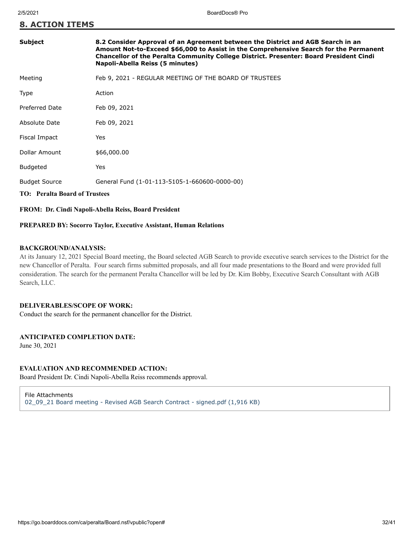| Subject                              | 8.2 Consider Approval of an Agreement between the District and AGB Search in an<br>Amount Not-to-Exceed \$66,000 to Assist in the Comprehensive Search for the Permanent<br>Chancellor of the Peralta Community College District. Presenter: Board President Cindi<br>Napoli-Abella Reiss (5 minutes) |
|--------------------------------------|-------------------------------------------------------------------------------------------------------------------------------------------------------------------------------------------------------------------------------------------------------------------------------------------------------|
| Meeting                              | Feb 9, 2021 - REGULAR MEETING OF THE BOARD OF TRUSTEES                                                                                                                                                                                                                                                |
| Type                                 | Action                                                                                                                                                                                                                                                                                                |
| <b>Preferred Date</b>                | Feb 09, 2021                                                                                                                                                                                                                                                                                          |
| Absolute Date                        | Feb 09, 2021                                                                                                                                                                                                                                                                                          |
| Fiscal Impact                        | Yes                                                                                                                                                                                                                                                                                                   |
| Dollar Amount                        | \$66,000.00                                                                                                                                                                                                                                                                                           |
| <b>Budgeted</b>                      | Yes                                                                                                                                                                                                                                                                                                   |
| <b>Budget Source</b>                 | General Fund (1-01-113-5105-1-660600-0000-00)                                                                                                                                                                                                                                                         |
| <b>TO: Peralta Board of Trustees</b> |                                                                                                                                                                                                                                                                                                       |

### **FROM: Dr. Cindi Napoli-Abella Reiss, Board President**

#### **PREPARED BY: Socorro Taylor, Executive Assistant, Human Relations**

#### **BACKGROUND/ANALYSIS:**

At its January 12, 2021 Special Board meeting, the Board selected AGB Search to provide executive search services to the District for the new Chancellor of Peralta. Four search firms submitted proposals, and all four made presentations to the Board and were provided full consideration. The search for the permanent Peralta Chancellor will be led by Dr. Kim Bobby, Executive Search Consultant with AGB Search, LLC.

#### **DELIVERABLES/SCOPE OF WORK:**

Conduct the search for the permanent chancellor for the District.

### **ANTICIPATED COMPLETION DATE:**

June 30, 2021

#### **EVALUATION AND RECOMMENDED ACTION:**

Board President Dr. Cindi Napoli-Abella Reiss recommends approval.

File Attachments [02\\_09\\_21 Board meeting - Revised AGB Search Contract - signed.pdf \(1,916 KB\)](https://go.boarddocs.com/ca/peralta/Board.nsf/files/BXVTZG76A325/$file/02_09_21%20Board%20meeting%20-%20Revised%20AGB%20Search%20Contract%20-%20signed.pdf)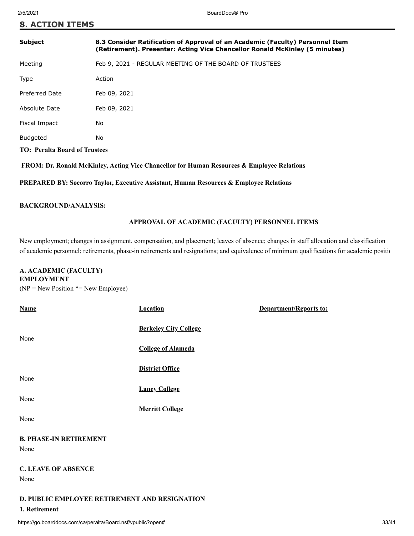| <b>Subject</b>                       | 8.3 Consider Ratification of Approval of an Academic (Faculty) Personnel Item<br>(Retirement). Presenter: Acting Vice Chancellor Ronald McKinley (5 minutes) |  |
|--------------------------------------|--------------------------------------------------------------------------------------------------------------------------------------------------------------|--|
| Meeting                              | Feb 9, 2021 - REGULAR MEETING OF THE BOARD OF TRUSTEES                                                                                                       |  |
| Type                                 | Action                                                                                                                                                       |  |
| Preferred Date                       | Feb 09, 2021                                                                                                                                                 |  |
| Absolute Date                        | Feb 09, 2021                                                                                                                                                 |  |
| Fiscal Impact                        | No                                                                                                                                                           |  |
| <b>Budgeted</b>                      | No                                                                                                                                                           |  |
| <b>TO: Peralta Board of Trustees</b> |                                                                                                                                                              |  |

 **FROM: Dr. Ronald McKinley, Acting Vice Chancellor for Human Resources & Employee Relations**

**PREPARED BY: Socorro Taylor, Executive Assistant, Human Resources & Employee Relations**

#### **BACKGROUND/ANALYSIS:**

#### **APPROVAL OF ACADEMIC (FACULTY) PERSONNEL ITEMS**

New employment; changes in assignment, compensation, and placement; leaves of absence; changes in staff allocation and classification of academic personnel; retirements, phase-in retirements and resignations; and equivalence of minimum qualifications for academic positio

### **A. ACADEMIC (FACULTY) EMPLOYMENT**

 $(NP = New Position * = New Employee)$ 

| <b>Name</b>                                   | <b>Location</b>              | Department/Reports to: |
|-----------------------------------------------|------------------------------|------------------------|
|                                               | <b>Berkeley City College</b> |                        |
| None                                          | <b>College of Alameda</b>    |                        |
|                                               | <b>District Office</b>       |                        |
| None                                          | <b>Laney College</b>         |                        |
| None                                          | <b>Merritt College</b>       |                        |
| None                                          |                              |                        |
| <b>B. PHASE-IN RETIREMENT</b>                 |                              |                        |
| None                                          |                              |                        |
| <b>C. LEAVE OF ABSENCE</b>                    |                              |                        |
| None                                          |                              |                        |
| D. PUBLIC EMPLOYEE RETIREMENT AND RESIGNATION |                              |                        |
| 1. Retirement                                 |                              |                        |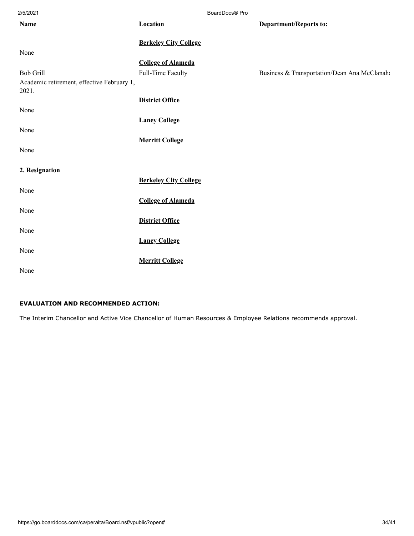| 2/5/2021                                            |                              | BoardDocs® Pro                               |
|-----------------------------------------------------|------------------------------|----------------------------------------------|
| <b>Name</b>                                         | <b>Location</b>              | Department/Reports to:                       |
|                                                     |                              |                                              |
|                                                     | <b>Berkeley City College</b> |                                              |
| None                                                |                              |                                              |
|                                                     | <b>College of Alameda</b>    |                                              |
| <b>Bob Grill</b>                                    | Full-Time Faculty            | Business & Transportation/Dean Ana McClanaha |
| Academic retirement, effective February 1,<br>2021. |                              |                                              |
|                                                     | <b>District Office</b>       |                                              |
| None                                                |                              |                                              |
|                                                     | <b>Laney College</b>         |                                              |
| None                                                |                              |                                              |
|                                                     | <b>Merritt College</b>       |                                              |
| None                                                |                              |                                              |
|                                                     |                              |                                              |
| 2. Resignation                                      |                              |                                              |
|                                                     | <b>Berkeley City College</b> |                                              |
| None                                                |                              |                                              |
|                                                     | <b>College of Alameda</b>    |                                              |
| None                                                |                              |                                              |
|                                                     | <b>District Office</b>       |                                              |
| None                                                |                              |                                              |
|                                                     |                              |                                              |
|                                                     | <b>Laney College</b>         |                                              |
| None                                                |                              |                                              |
|                                                     | <b>Merritt College</b>       |                                              |
| None                                                |                              |                                              |

# **EVALUATION AND RECOMMENDED ACTION:**

The Interim Chancellor and Active Vice Chancellor of Human Resources & Employee Relations recommends approval.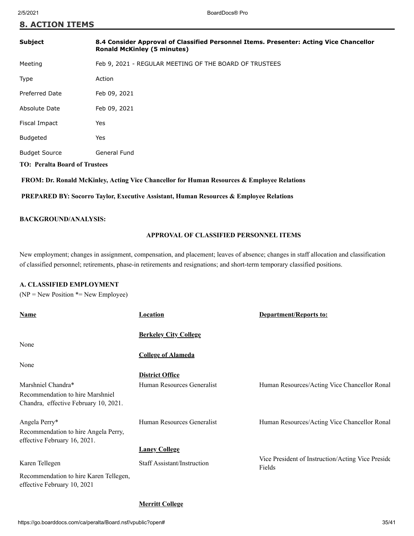| <b>Subject</b>                       | 8.4 Consider Approval of Classified Personnel Items. Presenter: Acting Vice Chancellor<br><b>Ronald McKinley (5 minutes)</b> |
|--------------------------------------|------------------------------------------------------------------------------------------------------------------------------|
| Meeting                              | Feb 9, 2021 - REGULAR MEETING OF THE BOARD OF TRUSTEES                                                                       |
| Type                                 | Action                                                                                                                       |
| <b>Preferred Date</b>                | Feb 09, 2021                                                                                                                 |
| Absolute Date                        | Feb 09, 2021                                                                                                                 |
| Fiscal Impact                        | Yes                                                                                                                          |
| <b>Budgeted</b>                      | Yes                                                                                                                          |
| <b>Budget Source</b>                 | General Fund                                                                                                                 |
| <b>TO: Peralta Board of Trustees</b> |                                                                                                                              |
|                                      |                                                                                                                              |

 **FROM: Dr. Ronald McKinley, Acting Vice Chancellor for Human Resources & Employee Relations**

 **PREPARED BY: Socorro Taylor, Executive Assistant, Human Resources & Employee Relations**

#### **BACKGROUND/ANALYSIS:**

### **APPROVAL OF CLASSIFIED PERSONNEL ITEMS**

New employment; changes in assignment, compensation, and placement; leaves of absence; changes in staff allocation and classification of classified personnel; retirements, phase-in retirements and resignations; and short-term temporary classified positions.

#### **A. CLASSIFIED EMPLOYMENT**

 $(NP = New Position * = New Employee)$ 

| Name                                                                  | Location                     | <b>Department/Reports to:</b>                               |
|-----------------------------------------------------------------------|------------------------------|-------------------------------------------------------------|
|                                                                       | <b>Berkeley City College</b> |                                                             |
| None                                                                  |                              |                                                             |
|                                                                       | <b>College of Alameda</b>    |                                                             |
| None                                                                  |                              |                                                             |
|                                                                       | <b>District Office</b>       |                                                             |
| Marshniel Chandra*                                                    | Human Resources Generalist   | Human Resources/Acting Vice Chancellor Ronal                |
| Recommendation to hire Marshniel                                      |                              |                                                             |
| Chandra, effective February 10, 2021.                                 |                              |                                                             |
| Angela Perry*                                                         | Human Resources Generalist   | Human Resources/Acting Vice Chancellor Ronal                |
| Recommendation to hire Angela Perry,                                  |                              |                                                             |
| effective February 16, 2021.                                          |                              |                                                             |
|                                                                       | <b>Laney College</b>         |                                                             |
| Karen Tellegen                                                        | Staff Assistant/Instruction  | Vice President of Instruction/Acting Vice Preside<br>Fields |
| Recommendation to hire Karen Tellegen,<br>effective February 10, 2021 |                              |                                                             |

#### **Merritt College**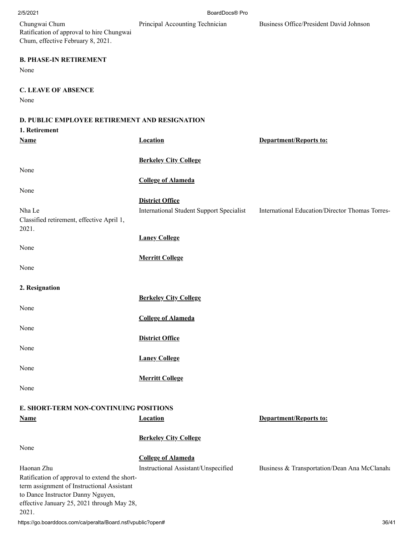2/5/2021 BoardDocs® Pro

Principal Accounting Technician Business Office/President David Johnson

| Chungwai Chum                             |
|-------------------------------------------|
| Ratification of approval to hire Chungwai |
| Chum, effective February 8, 2021.         |

### **B. PHASE-IN RETIREMENT**

None

**C. LEAVE OF ABSENCE**

None

### **D. PUBLIC EMPLOYEE RETIREMENT AND RESIGNATION**

| 1. Retirement                                                                   |                                          |                                                 |
|---------------------------------------------------------------------------------|------------------------------------------|-------------------------------------------------|
| <b>Name</b>                                                                     | <b>Location</b>                          | <b>Department/Reports to:</b>                   |
|                                                                                 |                                          |                                                 |
|                                                                                 | <b>Berkeley City College</b>             |                                                 |
| None                                                                            | <b>College of Alameda</b>                |                                                 |
| None                                                                            |                                          |                                                 |
|                                                                                 | <b>District Office</b>                   |                                                 |
| Nha Le                                                                          | International Student Support Specialist | International Education/Director Thomas Torres- |
| Classified retirement, effective April 1,                                       |                                          |                                                 |
| 2021.                                                                           |                                          |                                                 |
|                                                                                 | <b>Laney College</b>                     |                                                 |
| None                                                                            |                                          |                                                 |
|                                                                                 | <b>Merritt College</b>                   |                                                 |
| None                                                                            |                                          |                                                 |
|                                                                                 |                                          |                                                 |
| 2. Resignation                                                                  |                                          |                                                 |
| None                                                                            | <b>Berkeley City College</b>             |                                                 |
|                                                                                 | <b>College of Alameda</b>                |                                                 |
| None                                                                            |                                          |                                                 |
|                                                                                 | <b>District Office</b>                   |                                                 |
| None                                                                            |                                          |                                                 |
|                                                                                 | <b>Laney College</b>                     |                                                 |
| None                                                                            |                                          |                                                 |
|                                                                                 | <b>Merritt College</b>                   |                                                 |
| None                                                                            |                                          |                                                 |
|                                                                                 |                                          |                                                 |
| E. SHORT-TERM NON-CONTINUING POSITIONS<br><b>Name</b>                           | <b>Location</b>                          | <b>Department/Reports to:</b>                   |
|                                                                                 |                                          |                                                 |
|                                                                                 | <b>Berkeley City College</b>             |                                                 |
| None                                                                            |                                          |                                                 |
|                                                                                 | <b>College of Alameda</b>                |                                                 |
| Haonan Zhu                                                                      | Instructional Assistant/Unspecified      | Business & Transportation/Dean Ana McClanaha    |
| Ratification of approval to extend the short-                                   |                                          |                                                 |
| term assignment of Instructional Assistant<br>to Dance Instructor Danny Nguyen, |                                          |                                                 |
| effective January 25, 2021 through May 28,                                      |                                          |                                                 |
| 2021.                                                                           |                                          |                                                 |
| https://go.boarddocs.com/ca/peralta/Board.nsf/vpublic?open#                     |                                          | 36/41                                           |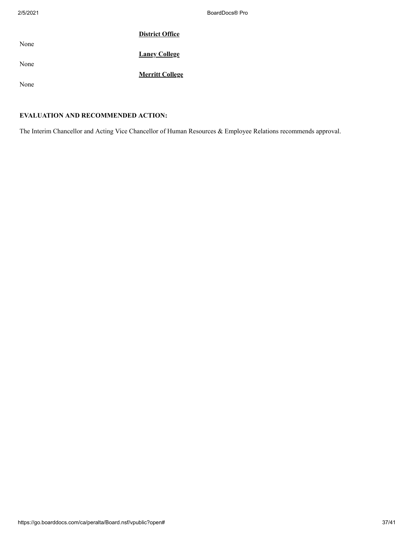|      | <b>District Office</b> |
|------|------------------------|
| None | <b>Laney College</b>   |
| None | <b>Merritt College</b> |
| None |                        |

# **EVALUATION AND RECOMMENDED ACTION:**

The Interim Chancellor and Acting Vice Chancellor of Human Resources & Employee Relations recommends approval.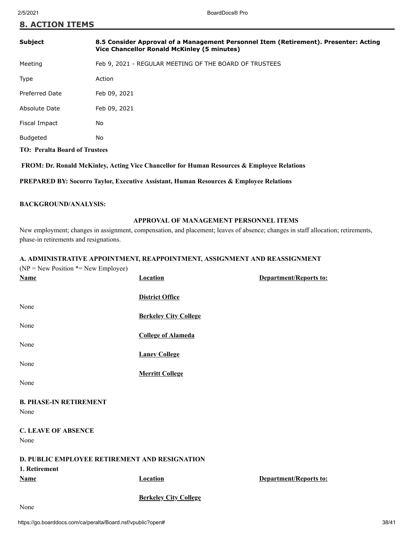| <b>Subject</b>                       | 8.5 Consider Approval of a Management Personnel Item (Retirement). Presenter: Acting<br>Vice Chancellor Ronald McKinley (5 minutes) |
|--------------------------------------|-------------------------------------------------------------------------------------------------------------------------------------|
| Meeting                              | Feb 9, 2021 - REGULAR MEETING OF THE BOARD OF TRUSTEES                                                                              |
| Type                                 | Action                                                                                                                              |
| <b>Preferred Date</b>                | Feb 09, 2021                                                                                                                        |
| Absolute Date                        | Feb 09, 2021                                                                                                                        |
| Fiscal Impact                        | No                                                                                                                                  |
| <b>Budgeted</b>                      | No                                                                                                                                  |
| <b>TO: Peralta Board of Trustees</b> |                                                                                                                                     |
|                                      |                                                                                                                                     |

 **FROM: Dr. Ronald McKinley, Acting Vice Chancellor for Human Resources & Employee Relations**

**PREPARED BY: Socorro Taylor, Executive Assistant, Human Resources & Employee Relations**

#### **BACKGROUND/ANALYSIS:**

#### **APPROVAL OF MANAGEMENT PERSONNEL ITEMS**

New employment; changes in assignment, compensation, and placement; leaves of absence; changes in staff allocation; retirements, phase-in retirements and resignations.

#### **A. ADMINISTRATIVE APPOINTMENT, REAPPOINTMENT, ASSIGNMENT AND REASSIGNMENT**

| $(NP = New Position * = New Employee)$        |                              |                        |
|-----------------------------------------------|------------------------------|------------------------|
| <b>Name</b>                                   | <b>Location</b>              | Department/Reports to: |
|                                               |                              |                        |
|                                               | <b>District Office</b>       |                        |
| None                                          |                              |                        |
|                                               | <b>Berkeley City College</b> |                        |
| None                                          |                              |                        |
|                                               | <b>College of Alameda</b>    |                        |
| None                                          |                              |                        |
| None                                          | <b>Laney College</b>         |                        |
|                                               | <b>Merritt College</b>       |                        |
| None                                          |                              |                        |
|                                               |                              |                        |
| <b>B. PHASE-IN RETIREMENT</b>                 |                              |                        |
| None                                          |                              |                        |
|                                               |                              |                        |
| <b>C. LEAVE OF ABSENCE</b>                    |                              |                        |
| None                                          |                              |                        |
|                                               |                              |                        |
| D. PUBLIC EMPLOYEE RETIREMENT AND RESIGNATION |                              |                        |
| 1. Retirement                                 |                              |                        |
| <b>Name</b>                                   | <b>Location</b>              | Department/Reports to: |
|                                               | <b>Berkeley City College</b> |                        |
| $\mathbf{X}$                                  |                              |                        |

None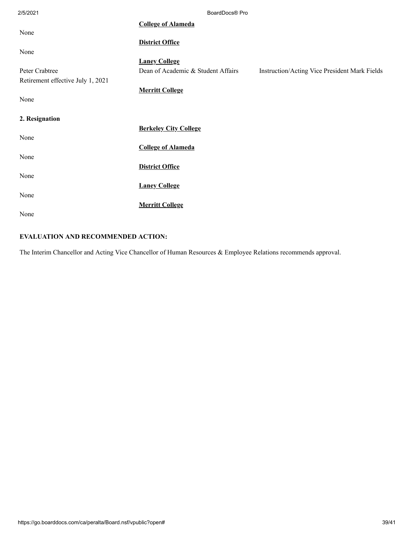| 2/5/2021                          | BoardDocs® Pro                     |                                               |
|-----------------------------------|------------------------------------|-----------------------------------------------|
|                                   | <b>College of Alameda</b>          |                                               |
| None                              |                                    |                                               |
|                                   | <b>District Office</b>             |                                               |
| None                              |                                    |                                               |
|                                   | <b>Laney College</b>               |                                               |
| Peter Crabtree                    | Dean of Academic & Student Affairs | Instruction/Acting Vice President Mark Fields |
| Retirement effective July 1, 2021 |                                    |                                               |
|                                   | <b>Merritt College</b>             |                                               |
| None                              |                                    |                                               |
|                                   |                                    |                                               |
| 2. Resignation                    |                                    |                                               |
|                                   | <b>Berkeley City College</b>       |                                               |
| None                              |                                    |                                               |
|                                   | <b>College of Alameda</b>          |                                               |
| None                              |                                    |                                               |
|                                   | <b>District Office</b>             |                                               |
| None                              |                                    |                                               |
|                                   | <b>Laney College</b>               |                                               |
| None                              |                                    |                                               |
|                                   | <b>Merritt College</b>             |                                               |
| None                              |                                    |                                               |

# **EVALUATION AND RECOMMENDED ACTION:**

The Interim Chancellor and Acting Vice Chancellor of Human Resources & Employee Relations recommends approval.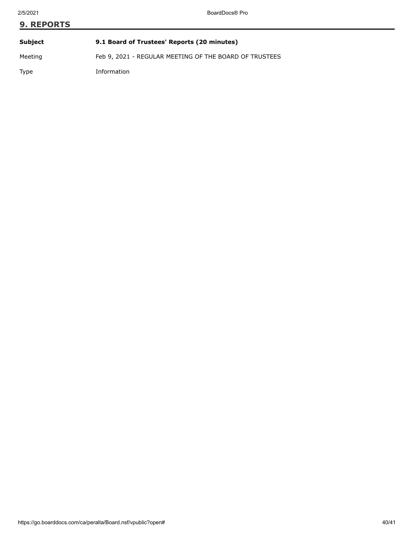# **9. REPORTS Subject 9.1 Board of Trustees' Reports (20 minutes)**

Meeting Feb 9, 2021 - REGULAR MEETING OF THE BOARD OF TRUSTEES

Type Information